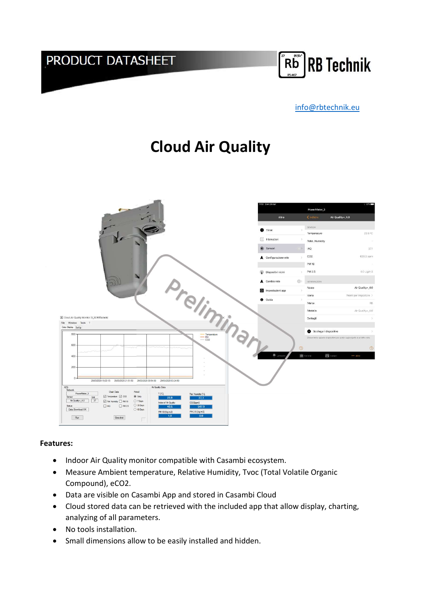## PRODUCT DATASHEET



#### info@rbtechnik.eu

# Cloud Air Quality



#### Features:

- Indoor Air Quality monitor compatible with Casambi ecosystem.
- Measure Ambient temperature, Relative Humidity, Tvoc (Total Volatile Organic Compound), eCO2.
- Data are visible on Casambi App and stored in Casambi Cloud
- Cloud stored data can be retrieved with the included app that allow display, charting, analyzing of all parameters.
- No tools installation.
- Small dimensions allow to be easily installed and hidden.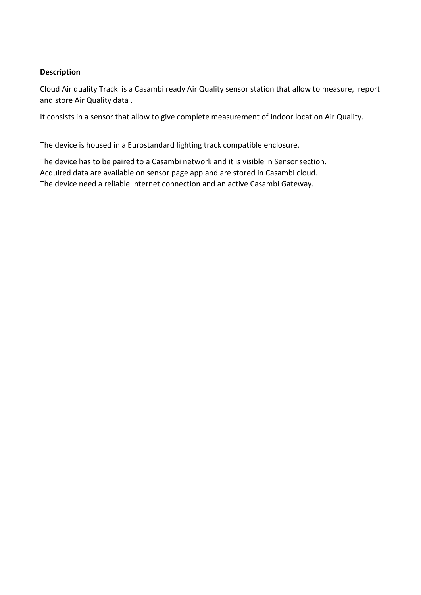#### Description

Cloud Air quality Track is a Casambi ready Air Quality sensor station that allow to measure, report and store Air Quality data .

It consists in a sensor that allow to give complete measurement of indoor location Air Quality.

The device is housed in a Eurostandard lighting track compatible enclosure.

The device has to be paired to a Casambi network and it is visible in Sensor section. Acquired data are available on sensor page app and are stored in Casambi cloud. The device need a reliable Internet connection and an active Casambi Gateway.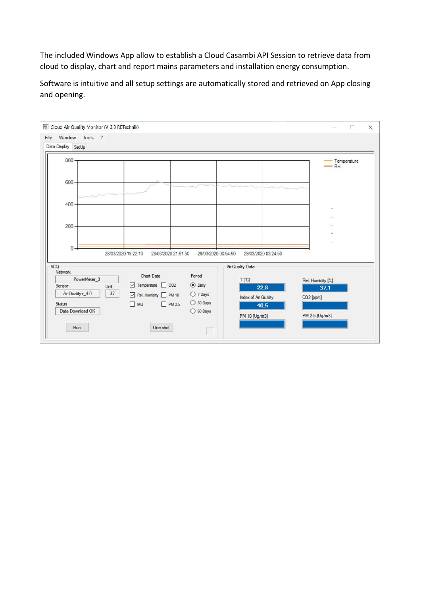The included Windows App allow to establish a Cloud Casambi API Session to retrieve data from cloud to display, chart and report mains parameters and installation energy consumption.

Software is intuitive and all setup settings are automatically stored and retrieved on App closing and opening.

|                                        |                                                                                                                |                                  | $\times$<br>П                                            |
|----------------------------------------|----------------------------------------------------------------------------------------------------------------|----------------------------------|----------------------------------------------------------|
|                                        |                                                                                                                |                                  | Temperature<br>$-$ RH                                    |
|                                        |                                                                                                                |                                  |                                                          |
|                                        |                                                                                                                |                                  |                                                          |
| Chart Data                             | Period                                                                                                         | 29/03/2020 03:24:50              |                                                          |
| Temperature CO2<br>Rel. Humidity PM 10 | <b>O</b> Daily<br>O 7 Days                                                                                     | 22,8<br>Index of Air Quality     | Rel. Humidity [%]<br>37.1<br>CO2 [ppm]                   |
|                                        | $\bigcirc$ 60 Days                                                                                             | PM 10 [Ug/m3]                    | PM 2.5 [Ug/m3]                                           |
|                                        | Cloud Air Quality Monitor (V_3.0 RBTechnik)<br>28/03/2020 19:22:13<br>$\n  PM 2.5\n$<br><b>IAQ</b><br>One shot | 28/03/2020 21:51:50<br>O 30 Days | 29/03/2020 00:54:50<br>Air Quality Data<br>T[TC]<br>40.5 |